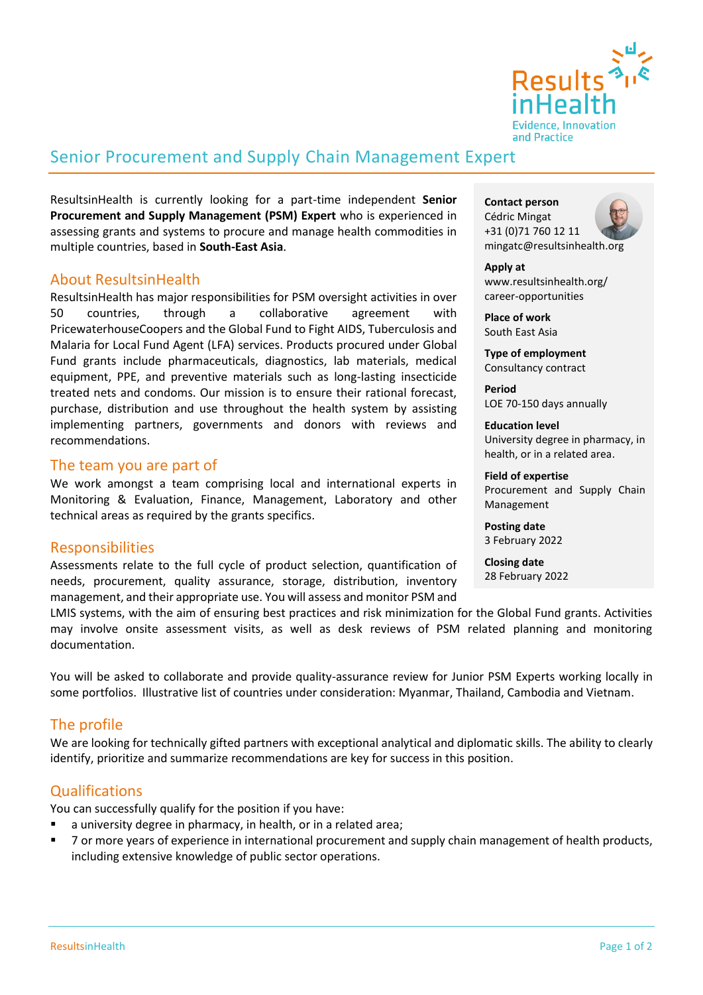

## Senior Procurement and Supply Chain Management Expert

ResultsinHealth is currently looking for a part-time independent **Senior Procurement and Supply Management (PSM) Expert** who is experienced in assessing grants and systems to procure and manage health commodities in multiple countries, based in **South-East Asia**.

## About ResultsinHealth

ResultsinHealth has major responsibilities for PSM oversight activities in over 50 countries, through a collaborative agreement with PricewaterhouseCoopers and the Global Fund to Fight AIDS, Tuberculosis and Malaria for Local Fund Agent (LFA) services. Products procured under Global Fund grants include pharmaceuticals, diagnostics, lab materials, medical equipment, PPE, and preventive materials such as long-lasting insecticide treated nets and condoms. Our mission is to ensure their rational forecast, purchase, distribution and use throughout the health system by assisting implementing partners, governments and donors with reviews and recommendations.

### The team you are part of

We work amongst a team comprising local and international experts in Monitoring & Evaluation, Finance, Management, Laboratory and other technical areas as required by the grants specifics.

## **Responsibilities**

Assessments relate to the full cycle of product selection, quantification of needs, procurement, quality assurance, storage, distribution, inventory management, and their appropriate use. You will assess and monitor PSM and **Contact person** Cédric Mingat +31 (0)71 760 12 11 mingatc@resultsinhealth.org

**Apply at** www.resultsinhealth.org/ career-opportunities

**Place of work** South East Asia

**Type of employment** Consultancy contract

**Period** LOE 70-150 days annually

**Education level** University degree in pharmacy, in health, or in a related area.

#### **Field of expertise**

Procurement and Supply Chain Management

**Posting date** 3 February 2022

**Closing date** 28 February 2022

# some portfolios. Illustrative list of countries under consideration: Myanmar, Thailand, Cambodia and Vietnam.

The profile

documentation.

We are looking for technically gifted partners with exceptional analytical and diplomatic skills. The ability to clearly identify, prioritize and summarize recommendations are key for success in this position.

LMIS systems, with the aim of ensuring best practices and risk minimization for the Global Fund grants. Activities may involve onsite assessment visits, as well as desk reviews of PSM related planning and monitoring

You will be asked to collaborate and provide quality-assurance review for Junior PSM Experts working locally in

## **Qualifications**

You can successfully qualify for the position if you have:

- a university degree in pharmacy, in health, or in a related area;
- 7 or more years of experience in international procurement and supply chain management of health products, including extensive knowledge of public sector operations.